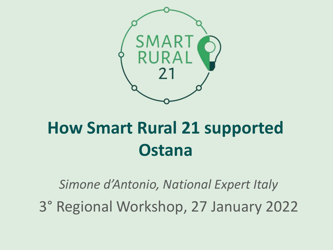

## **How Smart Rural 21 supported Ostana**

*Simone d'Antonio, National Expert Italy*

3° Regional Workshop, 27 January 2022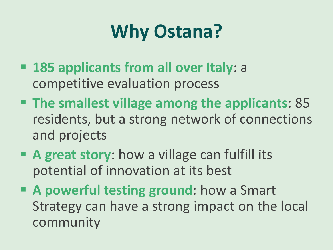# **Why Ostana?**

- **185 applicants from all over Italy**: a competitive evaluation process
- **The smallest village among the applicants**: 85 residents, but a strong network of connections and projects
- **A great story**: how a village can fulfill its potential of innovation at its best
- **A powerful testing ground**: how a Smart Strategy can have a strong impact on the local community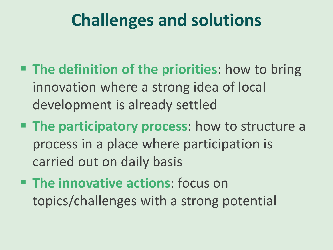#### **Challenges and solutions**

- **The definition of the priorities**: how to bring innovation where a strong idea of local development is already settled
- **The participatory process:** how to structure a process in a place where participation is carried out on daily basis
- **The innovative actions**: focus on topics/challenges with a strong potential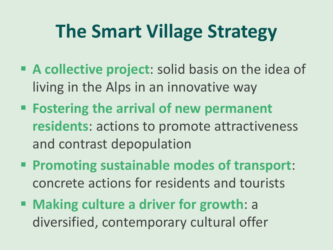## **The Smart Village Strategy**

- **A collective project**: solid basis on the idea of living in the Alps in an innovative way
- **Fostering the arrival of new permanent residents**: actions to promote attractiveness and contrast depopulation
- **Promoting sustainable modes of transport**: concrete actions for residents and tourists
- **Making culture a driver for growth**: a diversified, contemporary cultural offer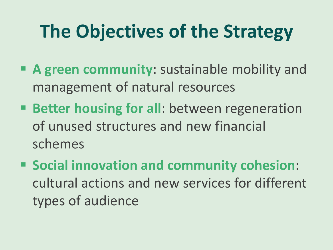# **The Objectives of the Strategy**

- **A green community**: sustainable mobility and management of natural resources
- **Better housing for all**: between regeneration of unused structures and new financial schemes
- **Social innovation and community cohesion**: cultural actions and new services for different types of audience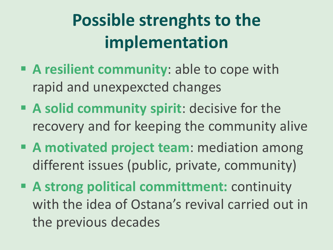## **Possible strenghts to the implementation**

- **A resilient community**: able to cope with rapid and unexpexcted changes
- **A solid community spirit**: decisive for the recovery and for keeping the community alive
- **A motivated project team**: mediation among different issues (public, private, community)
- **A strong political committment:** continuity with the idea of Ostana's revival carried out in the previous decades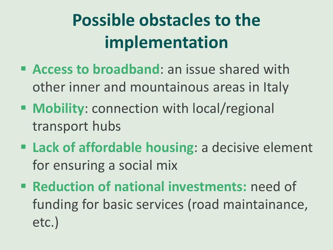## **Possible obstacles to the implementation**

- **Access to broadband**: an issue shared with other inner and mountainous areas in Italy
- **Mobility**: connection with local/regional transport hubs
- **Lack of affordable housing**: a decisive element for ensuring a social mix
- **Reduction of national investments: need of** funding for basic services (road maintainance, etc.)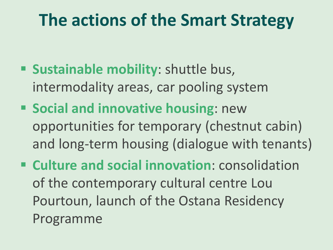#### **The actions of the Smart Strategy**

- **Sustainable mobility:** shuttle bus, intermodality areas, car pooling system
- **Social and innovative housing:** new opportunities for temporary (chestnut cabin) and long-term housing (dialogue with tenants)
- **Culture and social innovation**: consolidation of the contemporary cultural centre Lou Pourtoun, launch of the Ostana Residency Programme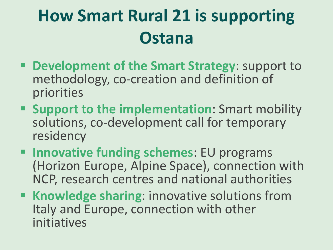## **How Smart Rural 21 is supporting Ostana**

- **Development of the Smart Strategy**: support to methodology, co-creation and definition of priorities
- **E** Support to the implementation: Smart mobility solutions, co-development call for temporary residency
- **Innovative funding schemes: EU programs** (Horizon Europe, Alpine Space), connection with NCP, research centres and national authorities
- **Knowledge sharing: innovative solutions from** Italy and Europe, connection with other initiatives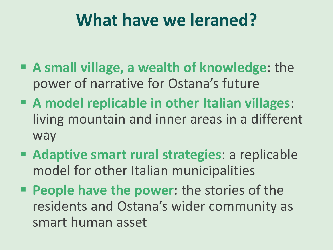#### **What have we leraned?**

- **A small village, a wealth of knowledge**: the power of narrative for Ostana's future
- **A model replicable in other Italian villages**: living mountain and inner areas in a different way
- **Adaptive smart rural strategies**: a replicable model for other Italian municipalities
- **People have the power: the stories of the** residents and Ostana's wider community as smart human asset